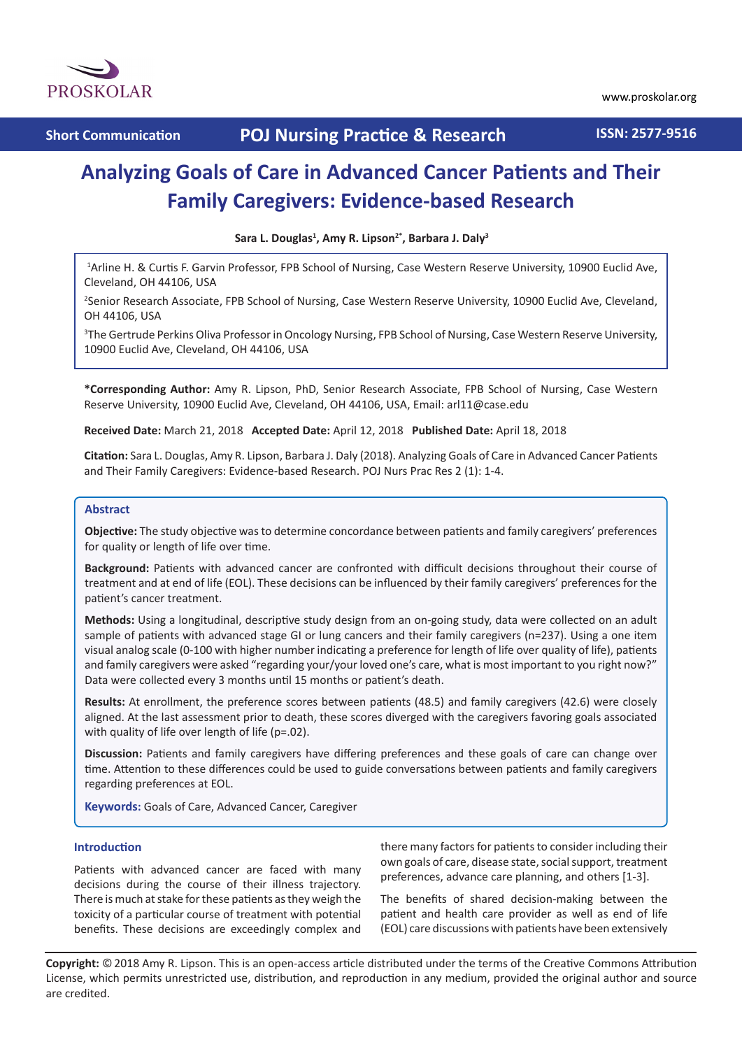

# **Analyzing Goals of Care in Advanced Cancer Patients and Their Family Caregivers: Evidence-based Research**

**Sara L. Douglas1 , Amy R. Lipson2\*, Barbara J. Daly3**

1 Arline H. & Curtis F. Garvin Professor, FPB School of Nursing, Case Western Reserve University, 10900 Euclid Ave, Cleveland, OH 44106, USA

2 Senior Research Associate, FPB School of Nursing, Case Western Reserve University, 10900 Euclid Ave, Cleveland, OH 44106, USA

3 The Gertrude Perkins Oliva Professor in Oncology Nursing, FPB School of Nursing, Case Western Reserve University, 10900 Euclid Ave, Cleveland, OH 44106, USA

**\*Corresponding Author:** Amy R. Lipson, PhD, Senior Research Associate, FPB School of Nursing, Case Western Reserve University, 10900 Euclid Ave, Cleveland, OH 44106, USA, Email: arl11@case.edu

**Received Date:** March 21, 2018 **Accepted Date:** April 12, 2018 **Published Date:** April 18, 2018

**Citation:** Sara L. Douglas, Amy R. Lipson, Barbara J. Daly (2018). Analyzing Goals of Care in Advanced Cancer Patients and Their Family Caregivers: Evidence-based Research. POJ Nurs Prac Res 2 (1): 1-4.

#### **Abstract**

**Objective:** The study objective was to determine concordance between patients and family caregivers' preferences for quality or length of life over time.

**Background:** Patients with advanced cancer are confronted with difficult decisions throughout their course of treatment and at end of life (EOL). These decisions can be influenced by their family caregivers' preferences for the patient's cancer treatment.

**Methods:** Using a longitudinal, descriptive study design from an on-going study, data were collected on an adult sample of patients with advanced stage GI or lung cancers and their family caregivers (n=237). Using a one item visual analog scale (0-100 with higher number indicating a preference for length of life over quality of life), patients and family caregivers were asked "regarding your/your loved one's care, what is most important to you right now?" Data were collected every 3 months until 15 months or patient's death.

**Results:** At enrollment, the preference scores between patients (48.5) and family caregivers (42.6) were closely aligned. At the last assessment prior to death, these scores diverged with the caregivers favoring goals associated with quality of life over length of life (p=.02).

**Discussion:** Patients and family caregivers have differing preferences and these goals of care can change over time. Attention to these differences could be used to guide conversations between patients and family caregivers regarding preferences at EOL.

**Keywords:** Goals of Care, Advanced Cancer, Caregiver

## **Introduction**

Patients with advanced cancer are faced with many decisions during the course of their illness trajectory. There is much at stake for these patients as they weigh the toxicity of a particular course of treatment with potential benefits. These decisions are exceedingly complex and there many factors for patients to consider including their own goals of care, disease state, social support, treatment preferences, advance care planning, and others [1-3].

The benefits of shared decision-making between the patient and health care provider as well as end of life (EOL) care discussions with patients have been extensively

**Copyright:** ©2018 Amy R. Lipson. This is an open-access article distributed under the terms of the Creative Commons Attribution License, which permits unrestricted use, distribution, and reproduction in any medium, provided the original author and source are credited.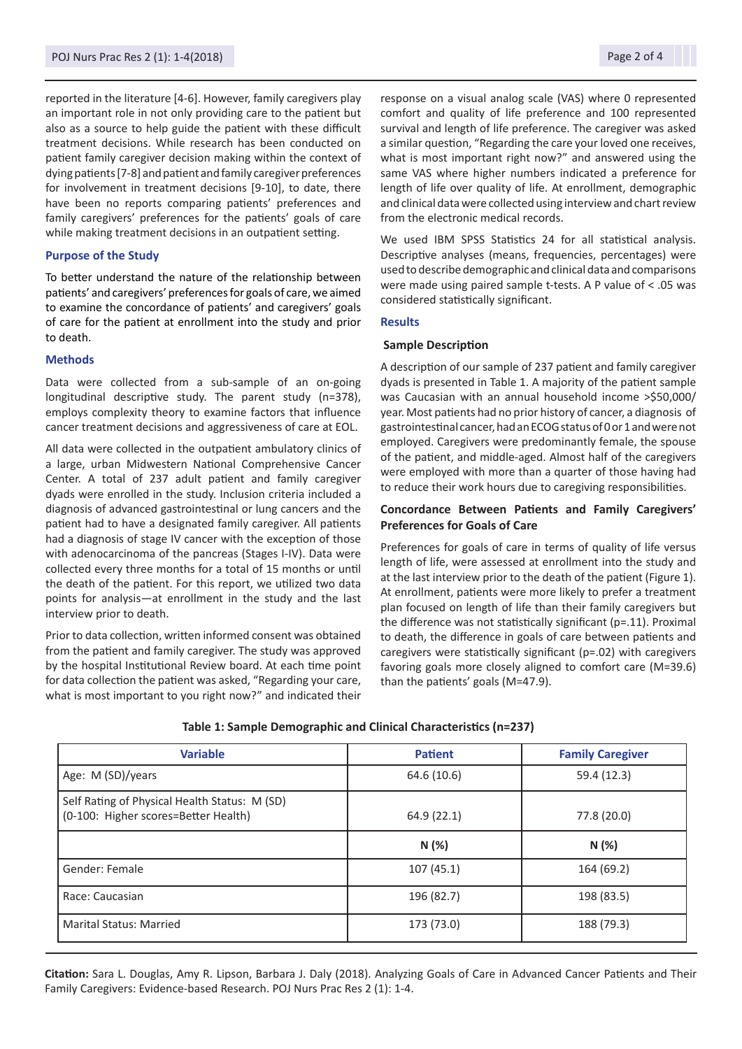reported in the literature [4-6]. However, family caregivers play an important role in not only providing care to the patient but also as a source to help guide the patient with these difficult treatment decisions. While research has been conducted on patient family caregiver decision making within the context of dying patients [7-8] and patient and family caregiver preferences for involvement in treatment decisions [9-10], to date, there have been no reports comparing patients' preferences and family caregivers' preferences for the patients' goals of care while making treatment decisions in an outpatient setting.

#### **Purpose of the Study**

To better understand the nature of the relationship between patients' and caregivers' preferences for goals of care, we aimed to examine the concordance of patients' and caregivers' goals of care for the patient at enrollment into the study and prior to death.

### **Methods**

Data were collected from a sub-sample of an on-going longitudinal descriptive study. The parent study (n=378), employs complexity theory to examine factors that influence cancer treatment decisions and aggressiveness of care at EOL.

All data were collected in the outpatient ambulatory clinics of a large, urban Midwestern National Comprehensive Cancer Center. A total of 237 adult patient and family caregiver dyads were enrolled in the study. Inclusion criteria included a diagnosis of advanced gastrointestinal or lung cancers and the patient had to have a designated family caregiver. All patients had a diagnosis of stage IV cancer with the exception of those with adenocarcinoma of the pancreas (Stages I-IV). Data were collected every three months for a total of 15 months or until the death of the patient. For this report, we utilized two data points for analysis—at enrollment in the study and the last interview prior to death.

Prior to data collection, written informed consent was obtained from the patient and family caregiver. The study was approved by the hospital Institutional Review board. At each time point for data collection the patient was asked, "Regarding your care, what is most important to you right now?" and indicated their response on a visual analog scale (VAS) where 0 represented comfort and quality of life preference and 100 represented survival and length of life preference. The caregiver was asked a similar question, "Regarding the care your loved one receives, what is most important right now?" and answered using the same VAS where higher numbers indicated a preference for length of life over quality of life. At enrollment, demographic and clinical data were collected using interview and chart review from the electronic medical records.

We used IBM SPSS Statistics 24 for all statistical analysis. Descriptive analyses (means, frequencies, percentages) were used to describe demographic and clinical data and comparisons were made using paired sample t-tests. A P value of < .05 was considered statistically significant.

#### **Results**

#### **Sample Description**

A description of our sample of 237 patient and family caregiver dyads is presented in Table 1. A majority of the patient sample was Caucasian with an annual household income >\$50,000/ year. Most patients had no prior history of cancer, a diagnosis of gastrointestinal cancer, had an ECOG status of 0 or 1 and were not employed. Caregivers were predominantly female, the spouse of the patient, and middle-aged. Almost half of the caregivers were employed with more than a quarter of those having had to reduce their work hours due to caregiving responsibilities.

## **Concordance Between Patients and Family Caregivers' Preferences for Goals of Care**

Preferences for goals of care in terms of quality of life versus length of life, were assessed at enrollment into the study and at the last interview prior to the death of the patient (Figure 1). At enrollment, patients were more likely to prefer a treatment plan focused on length of life than their family caregivers but the difference was not statistically significant (p=.11). Proximal to death, the difference in goals of care between patients and caregivers were statistically significant (p=.02) with caregivers favoring goals more closely aligned to comfort care (M=39.6) than the patients' goals (M=47.9).

| <b>Variable</b>                                                                       | <b>Patient</b> | <b>Family Caregiver</b> |
|---------------------------------------------------------------------------------------|----------------|-------------------------|
| Age: M (SD)/years                                                                     | 64.6 (10.6)    | 59.4 (12.3)             |
| Self Rating of Physical Health Status: M (SD)<br>(0-100: Higher scores=Better Health) | 64.9(22.1)     | 77.8 (20.0)             |
|                                                                                       | N(%)           | N(%)                    |
| Gender: Female                                                                        | 107(45.1)      | 164 (69.2)              |
| Race: Caucasian                                                                       | 196 (82.7)     | 198 (83.5)              |
| <b>Marital Status: Married</b>                                                        | 173 (73.0)     | 188 (79.3)              |

### **Table 1: Sample Demographic and Clinical Characteristics (n=237)**

**Citation:** Sara L. Douglas, Amy R. Lipson, Barbara J. Daly (2018). Analyzing Goals of Care in Advanced Cancer Patients and Their Family Caregivers: Evidence-based Research. POJ Nurs Prac Res 2 (1): 1-4.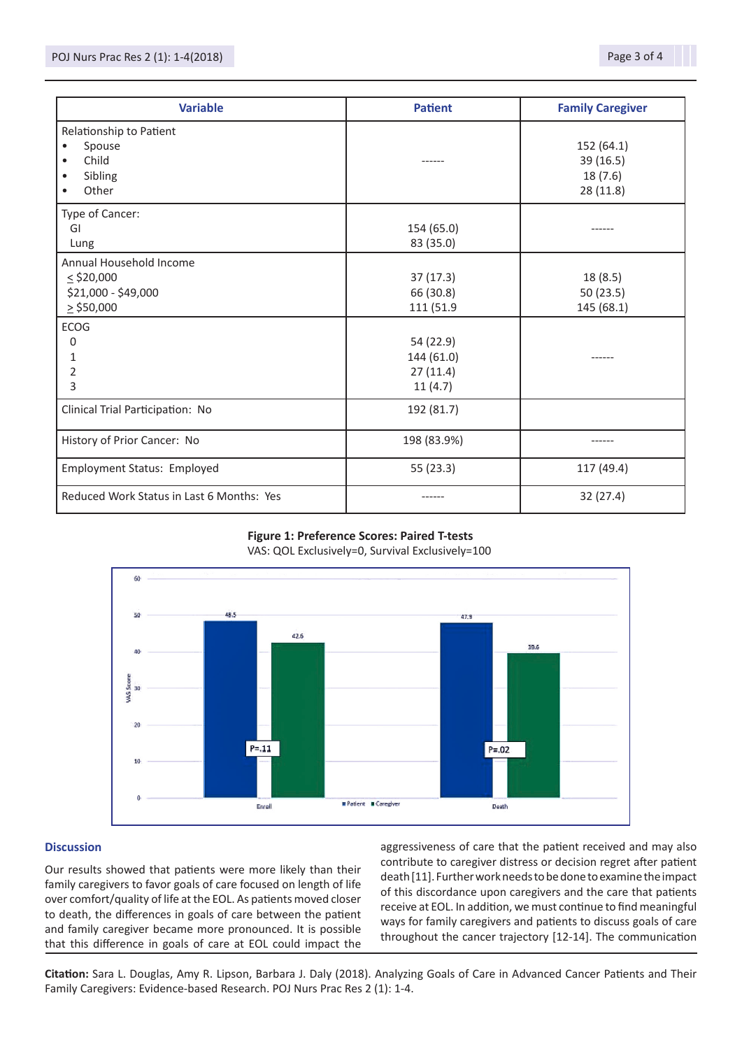| <b>Variable</b>                                                                               | <b>Patient</b>                                 | <b>Family Caregiver</b>                         |
|-----------------------------------------------------------------------------------------------|------------------------------------------------|-------------------------------------------------|
| Relationship to Patient<br>Spouse<br>٠<br>Child<br>$\bullet$<br>Sibling<br>$\bullet$<br>Other |                                                | 152 (64.1)<br>39 (16.5)<br>18(7.6)<br>28 (11.8) |
| Type of Cancer:<br>GI<br>Lung                                                                 | 154 (65.0)<br>83 (35.0)                        |                                                 |
| Annual Household Income<br>$\le$ \$20,000<br>\$21,000 - \$49,000<br>$\ge$ \$50,000            | 37(17.3)<br>66 (30.8)<br>111 (51.9             | 18 (8.5)<br>50 (23.5)<br>145 (68.1)             |
| <b>ECOG</b><br>0<br>1<br>2<br>3                                                               | 54 (22.9)<br>144 (61.0)<br>27(11.4)<br>11(4.7) |                                                 |
| Clinical Trial Participation: No                                                              | 192 (81.7)                                     |                                                 |
| History of Prior Cancer: No                                                                   | 198 (83.9%)                                    | ------                                          |
| Employment Status: Employed                                                                   | 55(23.3)                                       | 117 (49.4)                                      |
| Reduced Work Status in Last 6 Months: Yes                                                     |                                                | 32(27.4)                                        |

## **Figure 1: Preference Scores: Paired T-tests** VAS: QOL Exclusively=0, Survival Exclusively=100



## **Discussion**

Our results showed that patients were more likely than their family caregivers to favor goals of care focused on length of life over comfort/quality of life at the EOL. As patients moved closer to death, the differences in goals of care between the patient and family caregiver became more pronounced. It is possible that this difference in goals of care at EOL could impact the

aggressiveness of care that the patient received and may also contribute to caregiver distress or decision regret after patient death [11]. Further work needs to be done to examine the impact of this discordance upon caregivers and the care that patients receive at EOL. In addition, we must continue to find meaningful ways for family caregivers and patients to discuss goals of care throughout the cancer trajectory [12-14]. The communication

**Citation:** Sara L. Douglas, Amy R. Lipson, Barbara J. Daly (2018). Analyzing Goals of Care in Advanced Cancer Patients and Their Family Caregivers: Evidence-based Research. POJ Nurs Prac Res 2 (1): 1-4.